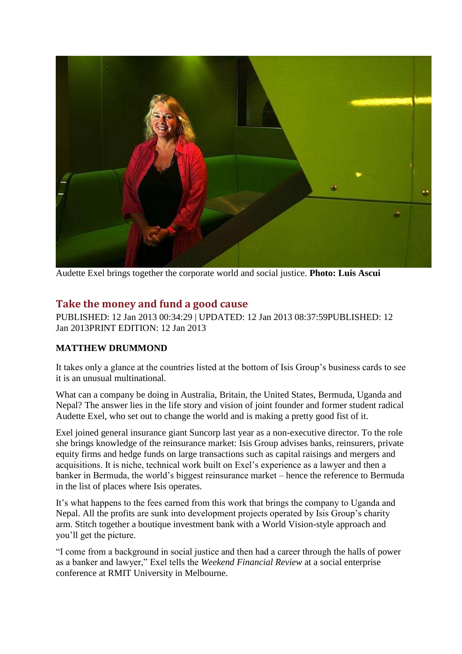

Audette Exel brings together the corporate world and social justice. **Photo: Luis Ascui**

## **Take the money and fund a good cause**

PUBLISHED: 12 Jan 2013 00:34:29 | UPDATED: 12 Jan 2013 08:37:59PUBLISHED: 12 Jan 2013PRINT EDITION: 12 Jan 2013

## **MATTHEW DRUMMOND**

It takes only a glance at the countries listed at the bottom of Isis Group's business cards to see it is an unusual multinational.

What can a company be doing in Australia, Britain, the United States, Bermuda, Uganda and Nepal? The answer lies in the life story and vision of joint founder and former student radical Audette Exel, who set out to change the world and is making a pretty good fist of it.

Exel joined general insurance giant Suncorp last year as a non-executive director. To the role she brings knowledge of the reinsurance market: Isis Group advises banks, reinsurers, private equity firms and hedge funds on large transactions such as capital raisings and mergers and acquisitions. It is niche, technical work built on Exel's experience as a lawyer and then a banker in Bermuda, the world's biggest reinsurance market – hence the reference to Bermuda in the list of places where Isis operates.

It's what happens to the fees earned from this work that brings the company to Uganda and Nepal. All the profits are sunk into development projects operated by Isis Group's charity arm. Stitch together a boutique investment bank with a World Vision-style approach and you'll get the picture.

"I come from a background in social justice and then had a career through the halls of power as a banker and lawyer," Exel tells the *Weekend Financial Review* at a social enterprise conference at RMIT University in Melbourne.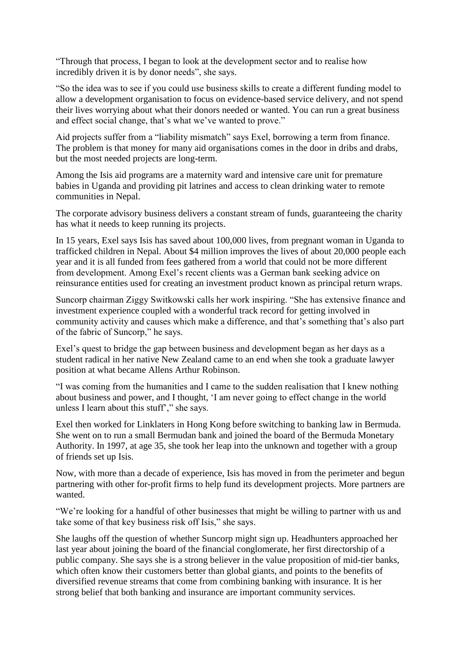"Through that process, I began to look at the development sector and to realise how incredibly driven it is by donor needs", she says.

"So the idea was to see if you could use business skills to create a different funding model to allow a development organisation to focus on evidence-based service delivery, and not spend their lives worrying about what their donors needed or wanted. You can run a great business and effect social change, that's what we've wanted to prove."

Aid projects suffer from a "liability mismatch" says Exel, borrowing a term from finance. The problem is that money for many aid organisations comes in the door in dribs and drabs, but the most needed projects are long-term.

Among the Isis aid programs are a maternity ward and intensive care unit for premature babies in Uganda and providing pit latrines and access to clean drinking water to remote communities in Nepal.

The corporate advisory business delivers a constant stream of funds, guaranteeing the charity has what it needs to keep running its projects.

In 15 years, Exel says Isis has saved about 100,000 lives, from pregnant woman in Uganda to trafficked children in Nepal. About \$4 million improves the lives of about 20,000 people each year and it is all funded from fees gathered from a world that could not be more different from development. Among Exel's recent clients was a German bank seeking advice on reinsurance entities used for creating an investment product known as principal return wraps.

Suncorp chairman Ziggy Switkowski calls her work inspiring. "She has extensive finance and investment experience coupled with a wonderful track record for getting involved in community activity and causes which make a difference, and that's something that's also part of the fabric of Suncorp," he says.

Exel's quest to bridge the gap between business and development began as her days as a student radical in her native New Zealand came to an end when she took a graduate lawyer position at what became Allens Arthur Robinson.

"I was coming from the humanities and I came to the sudden realisation that I knew nothing about business and power, and I thought, 'I am never going to effect change in the world unless I learn about this stuff'," she says.

Exel then worked for Linklaters in Hong Kong before switching to banking law in Bermuda. She went on to run a small Bermudan bank and joined the board of the Bermuda Monetary Authority. In 1997, at age 35, she took her leap into the unknown and together with a group of friends set up Isis.

Now, with more than a decade of experience, Isis has moved in from the perimeter and begun partnering with other for-profit firms to help fund its development projects. More partners are wanted.

"We're looking for a handful of other businesses that might be willing to partner with us and take some of that key business risk off Isis," she says.

She laughs off the question of whether Suncorp might sign up. Headhunters approached her last year about joining the board of the financial conglomerate, her first directorship of a public company. She says she is a strong believer in the value proposition of mid-tier banks, which often know their customers better than global giants, and points to the benefits of diversified revenue streams that come from combining banking with insurance. It is her strong belief that both banking and insurance are important community services.